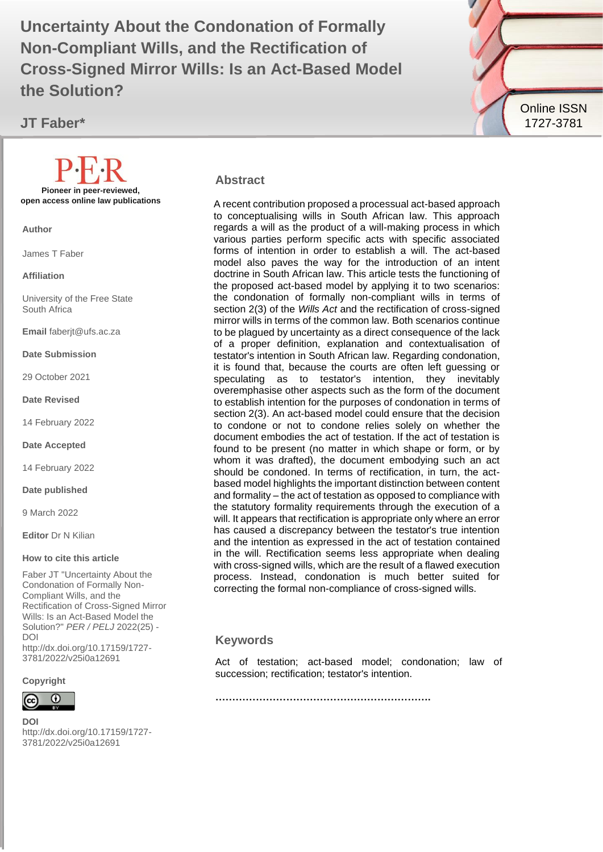Non-Compliant Wills, and the Rectification of **1999 Uncertainty About the Condonation of Formally Cross-Signed Mirror Wills: Is an Act-Based Model the Solution?**

**JT Faber\***

**Pioneer in peer-reviewed, open access online law publications**

**Author**

James T Faber

**Affiliation**

University of the Free State South Africa

**Email** faberjt@ufs.ac.za

**Date Submission**

29 October 2021

**Date Revised**

14 February 2022

**Date Accepted**

14 February 2022

**Date published**

9 March 2022

**Editor** Dr N Kilian

#### **How to cite this article**

Faber JT "Uncertainty About the Condonation of Formally Non-Compliant Wills, and the Rectification of Cross-Signed Mirror Wills: Is an Act-Based Model the Solution?" *PER / PELJ* 2022(25) - DOI http://dx.doi.org/10.17159/1727- 3781/2022/v25i0a12691

**Copyright**



**DOI**  http://dx.doi.org/10.17159/1727- 3781/2022/v25i0a12691



#### **Abstract**

A recent contribution proposed a processual act-based approach to conceptualising wills in South African law. This approach regards a will as the product of a will-making process in which various parties perform specific acts with specific associated forms of intention in order to establish a will. The act-based model also paves the way for the introduction of an intent doctrine in South African law. This article tests the functioning of the proposed act-based model by applying it to two scenarios: the condonation of formally non-compliant wills in terms of section 2(3) of the *Wills Act* and the rectification of cross-signed mirror wills in terms of the common law. Both scenarios continue to be plagued by uncertainty as a direct consequence of the lack of a proper definition, explanation and contextualisation of testator's intention in South African law. Regarding condonation, it is found that, because the courts are often left guessing or speculating as to testator's intention, they inevitably overemphasise other aspects such as the form of the document to establish intention for the purposes of condonation in terms of section 2(3). An act-based model could ensure that the decision to condone or not to condone relies solely on whether the document embodies the act of testation. If the act of testation is found to be present (no matter in which shape or form, or by whom it was drafted), the document embodying such an act should be condoned. In terms of rectification, in turn, the actbased model highlights the important distinction between content and formality – the act of testation as opposed to compliance with the statutory formality requirements through the execution of a will. It appears that rectification is appropriate only where an error has caused a discrepancy between the testator's true intention and the intention as expressed in the act of testation contained in the will. Rectification seems less appropriate when dealing with cross-signed wills, which are the result of a flawed execution process. Instead, condonation is much better suited for correcting the formal non-compliance of cross-signed wills.

#### **Keywords**

Act of testation; act-based model; condonation; law of succession; rectification; testator's intention.

**……………………………………………………….**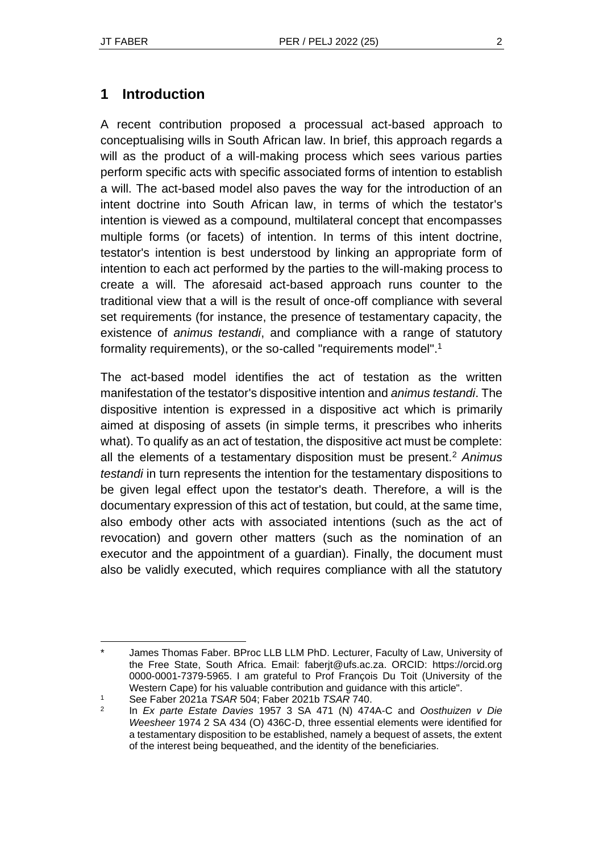A recent contribution proposed a processual act-based approach to conceptualising wills in South African law. In brief, this approach regards a will as the product of a will-making process which sees various parties perform specific acts with specific associated forms of intention to establish a will. The act-based model also paves the way for the introduction of an intent doctrine into South African law, in terms of which the testator's intention is viewed as a compound, multilateral concept that encompasses multiple forms (or facets) of intention. In terms of this intent doctrine, testator's intention is best understood by linking an appropriate form of intention to each act performed by the parties to the will-making process to create a will. The aforesaid act-based approach runs counter to the traditional view that a will is the result of once-off compliance with several set requirements (for instance, the presence of testamentary capacity, the existence of *animus testandi*, and compliance with a range of statutory formality requirements), or the so-called "requirements model". 1

The act-based model identifies the act of testation as the written manifestation of the testator's dispositive intention and *animus testandi*. The dispositive intention is expressed in a dispositive act which is primarily aimed at disposing of assets (in simple terms, it prescribes who inherits what). To qualify as an act of testation, the dispositive act must be complete: all the elements of a testamentary disposition must be present.<sup>2</sup> *Animus testandi* in turn represents the intention for the testamentary dispositions to be given legal effect upon the testator's death. Therefore, a will is the documentary expression of this act of testation, but could, at the same time, also embody other acts with associated intentions (such as the act of revocation) and govern other matters (such as the nomination of an executor and the appointment of a guardian). Finally, the document must also be validly executed, which requires compliance with all the statutory

James Thomas Faber. BProc LLB LLM PhD. Lecturer, Faculty of Law, University of the Free State, South Africa. Email: faberjt@ufs.ac.za. ORCID: https://orcid.org 0000-0001-7379-5965. I am grateful to Prof François Du Toit (University of the Western Cape) for his valuable contribution and guidance with this article".

<sup>1</sup> See Faber 2021a *TSAR* 504; Faber 2021b *TSAR* 740.

 $\mathfrak{D}$ In *Ex parte Estate Davies* 1957 3 SA 471 (N) 474A-C and *Oosthuizen v Die Weesheer* 1974 2 SA 434 (O) 436C-D, three essential elements were identified for a testamentary disposition to be established, namely a bequest of assets, the extent of the interest being bequeathed, and the identity of the beneficiaries.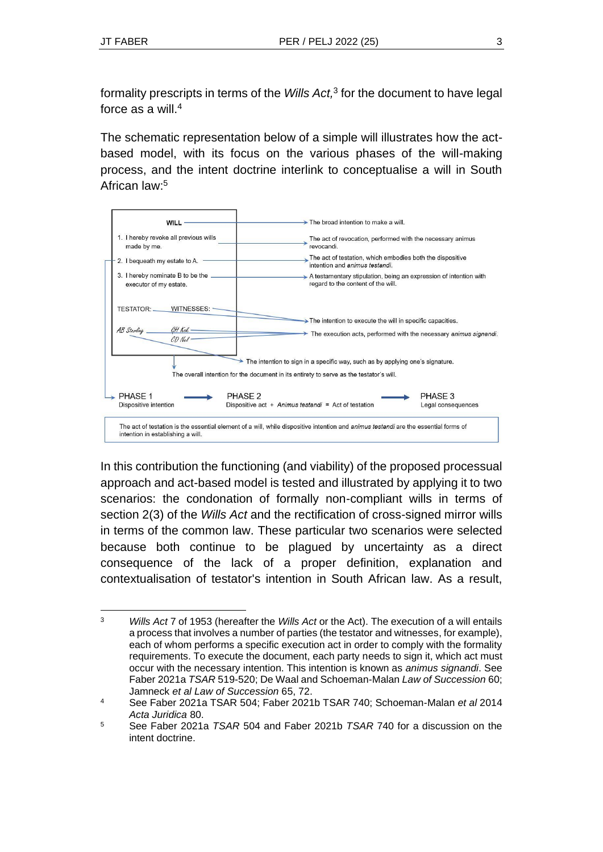formality prescripts in terms of the *Wills Act,* 3 for the document to have legal force as a will.<sup>4</sup>

The schematic representation below of a simple will illustrates how the actbased model, with its focus on the various phases of the will-making process, and the intent doctrine interlink to conceptualise a will in South African law:<sup>5</sup>



In this contribution the functioning (and viability) of the proposed processual approach and act-based model is tested and illustrated by applying it to two scenarios: the condonation of formally non-compliant wills in terms of section 2(3) of the *Wills Act* and the rectification of cross-signed mirror wills in terms of the common law. These particular two scenarios were selected because both continue to be plagued by uncertainty as a direct consequence of the lack of a proper definition, explanation and contextualisation of testator's intention in South African law. As a result,

<sup>3</sup> *Wills Act* 7 of 1953 (hereafter the *Wills Act* or the Act). The execution of a will entails a process that involves a number of parties (the testator and witnesses, for example), each of whom performs a specific execution act in order to comply with the formality requirements. To execute the document, each party needs to sign it, which act must occur with the necessary intention. This intention is known as *animus signandi*. See Faber 2021a *TSAR* 519-520; De Waal and Schoeman-Malan *Law of Succession* 60; Jamneck *et al Law of Succession* 65, 72.

<sup>4</sup> See Faber 2021a TSAR 504; Faber 2021b TSAR 740; Schoeman-Malan *et al* 2014 *Acta Juridica* 80.

<sup>5</sup> See Faber 2021a *TSAR* 504 and Faber 2021b *TSAR* 740 for a discussion on the intent doctrine.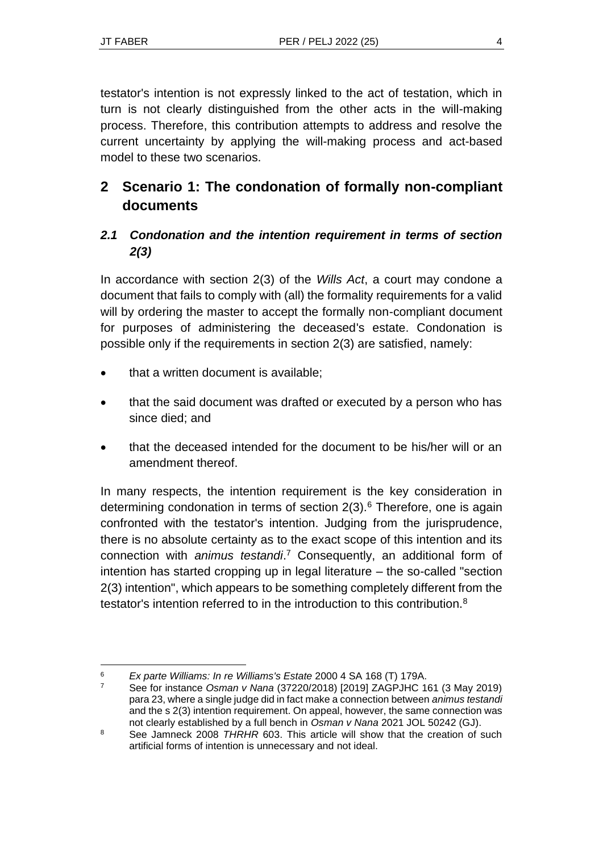testator's intention is not expressly linked to the act of testation, which in turn is not clearly distinguished from the other acts in the will-making process. Therefore, this contribution attempts to address and resolve the current uncertainty by applying the will-making process and act-based model to these two scenarios.

# **2 Scenario 1: The condonation of formally non-compliant documents**

### *2.1 Condonation and the intention requirement in terms of section 2(3)*

In accordance with section 2(3) of the *Wills Act*, a court may condone a document that fails to comply with (all) the formality requirements for a valid will by ordering the master to accept the formally non-compliant document for purposes of administering the deceased's estate. Condonation is possible only if the requirements in section 2(3) are satisfied, namely:

- that a written document is available:
- that the said document was drafted or executed by a person who has since died; and
- that the deceased intended for the document to be his/her will or an amendment thereof.

In many respects, the intention requirement is the key consideration in determining condonation in terms of section  $2(3)$ .<sup>6</sup> Therefore, one is again confronted with the testator's intention. Judging from the jurisprudence, there is no absolute certainty as to the exact scope of this intention and its connection with *animus testandi*. <sup>7</sup> Consequently, an additional form of intention has started cropping up in legal literature – the so-called "section 2(3) intention", which appears to be something completely different from the testator's intention referred to in the introduction to this contribution.<sup>8</sup>

<sup>6</sup> *Ex parte Williams: In re Williams's Estate* 2000 4 SA 168 (T) 179A.

<sup>7</sup> See for instance *Osman v Nana* (37220/2018) [2019] ZAGPJHC 161 (3 May 2019) para 23, where a single judge did in fact make a connection between *animus testandi* and the s 2(3) intention requirement. On appeal, however, the same connection was not clearly established by a full bench in *Osman v Nana* 2021 JOL 50242 (GJ).

<sup>8</sup> See Jamneck 2008 *THRHR* 603. This article will show that the creation of such artificial forms of intention is unnecessary and not ideal.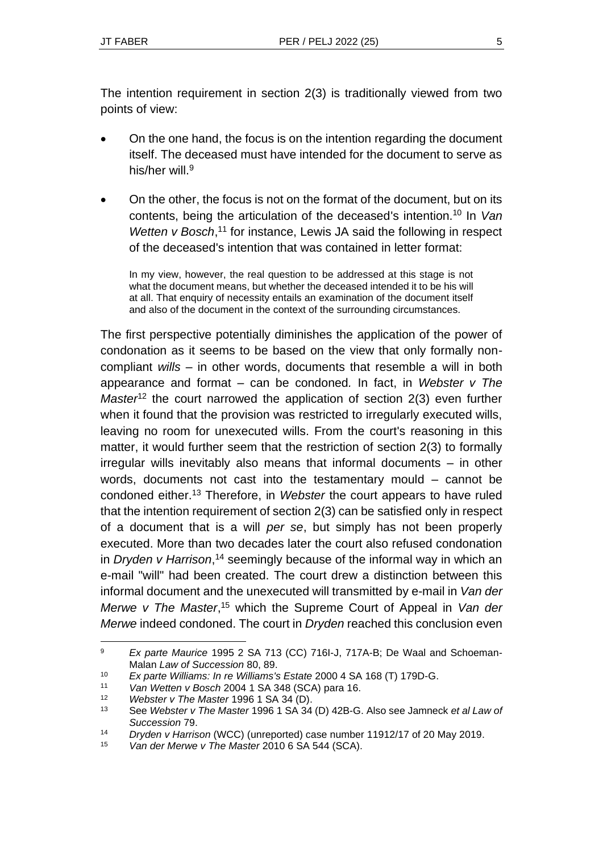The intention requirement in section 2(3) is traditionally viewed from two points of view:

- On the one hand, the focus is on the intention regarding the document itself. The deceased must have intended for the document to serve as his/her will.<sup>9</sup>
- On the other, the focus is not on the format of the document, but on its contents, being the articulation of the deceased's intention.<sup>10</sup> In *Van*  Wetten v Bosch,<sup>11</sup> for instance, Lewis JA said the following in respect of the deceased's intention that was contained in letter format:

In my view, however, the real question to be addressed at this stage is not what the document means, but whether the deceased intended it to be his will at all. That enquiry of necessity entails an examination of the document itself and also of the document in the context of the surrounding circumstances.

The first perspective potentially diminishes the application of the power of condonation as it seems to be based on the view that only formally noncompliant *wills* – in other words, documents that resemble a will in both appearance and format – can be condoned*.* In fact, in *Webster v The Master*<sup>12</sup> the court narrowed the application of section 2(3) even further when it found that the provision was restricted to irregularly executed wills, leaving no room for unexecuted wills. From the court's reasoning in this matter, it would further seem that the restriction of section 2(3) to formally irregular wills inevitably also means that informal documents – in other words, documents not cast into the testamentary mould – cannot be condoned either.<sup>13</sup> Therefore, in *Webster* the court appears to have ruled that the intention requirement of section 2(3) can be satisfied only in respect of a document that is a will *per se*, but simply has not been properly executed. More than two decades later the court also refused condonation in *Dryden v Harrison*, <sup>14</sup> seemingly because of the informal way in which an e-mail "will" had been created. The court drew a distinction between this informal document and the unexecuted will transmitted by e-mail in *Van der Merwe v The Master*, <sup>15</sup> which the Supreme Court of Appeal in *Van der Merwe* indeed condoned. The court in *Dryden* reached this conclusion even

<sup>9</sup> *Ex parte Maurice* 1995 2 SA 713 (CC) 716I-J, 717A-B; De Waal and Schoeman-Malan *Law of Succession* 80, 89.

<sup>10</sup> *Ex parte Williams: In re Williams's Estate* 2000 4 SA 168 (T) 179D-G.

<sup>11</sup> *Van Wetten v Bosch* 2004 1 SA 348 (SCA) para 16.

<sup>12</sup> *Webster v The Master* 1996 1 SA 34 (D).

<sup>13</sup> See *Webster v The Master* 1996 1 SA 34 (D) 42B-G. Also see Jamneck *et al Law of Succession* 79.

<sup>14</sup> *Dryden v Harrison* (WCC) (unreported) case number 11912/17 of 20 May 2019.

<sup>15</sup> *Van der Merwe v The Master* 2010 6 SA 544 (SCA).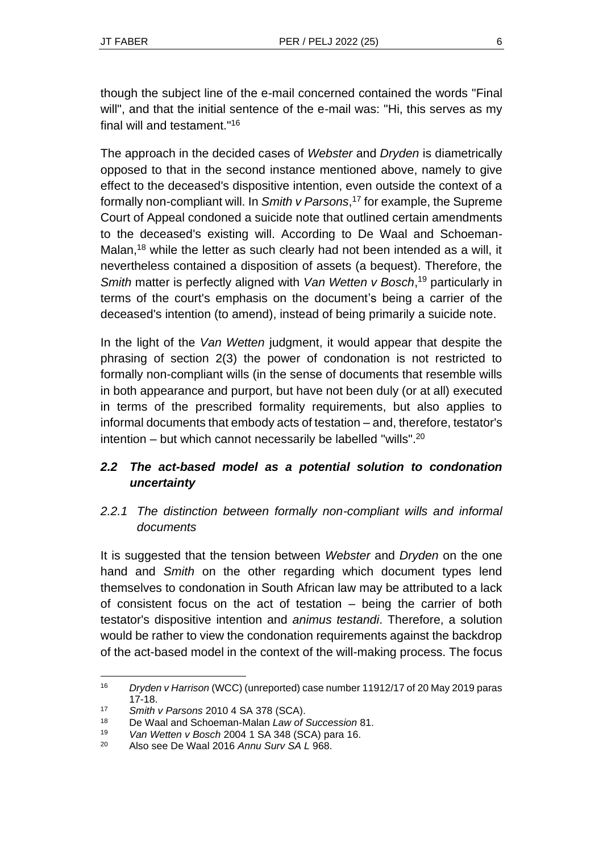though the subject line of the e-mail concerned contained the words "Final will", and that the initial sentence of the e-mail was: "Hi, this serves as my final will and testament." 16

The approach in the decided cases of *Webster* and *Dryden* is diametrically opposed to that in the second instance mentioned above, namely to give effect to the deceased's dispositive intention, even outside the context of a formally non-compliant will. In *Smith v Parsons*, <sup>17</sup> for example, the Supreme Court of Appeal condoned a suicide note that outlined certain amendments to the deceased's existing will. According to De Waal and Schoeman-Malan,<sup>18</sup> while the letter as such clearly had not been intended as a will, it nevertheless contained a disposition of assets (a bequest). Therefore, the *Smith* matter is perfectly aligned with *Van Wetten v Bosch*, <sup>19</sup> particularly in terms of the court's emphasis on the document's being a carrier of the deceased's intention (to amend), instead of being primarily a suicide note.

In the light of the *Van Wetten* judgment, it would appear that despite the phrasing of section 2(3) the power of condonation is not restricted to formally non-compliant wills (in the sense of documents that resemble wills in both appearance and purport, but have not been duly (or at all) executed in terms of the prescribed formality requirements, but also applies to informal documents that embody acts of testation – and, therefore, testator's intention – but which cannot necessarily be labelled "wills". 20

### *2.2 The act-based model as a potential solution to condonation uncertainty*

### *2.2.1 The distinction between formally non-compliant wills and informal documents*

It is suggested that the tension between *Webster* and *Dryden* on the one hand and *Smith* on the other regarding which document types lend themselves to condonation in South African law may be attributed to a lack of consistent focus on the act of testation – being the carrier of both testator's dispositive intention and *animus testandi*. Therefore, a solution would be rather to view the condonation requirements against the backdrop of the act-based model in the context of the will-making process. The focus

<sup>16</sup> *Dryden v Harrison* (WCC) (unreported) case number 11912/17 of 20 May 2019 paras 17-18.

<sup>17</sup> *Smith v Parsons* 2010 4 SA 378 (SCA).

<sup>18</sup> De Waal and Schoeman-Malan *Law of Succession* 81.

<sup>19</sup> *Van Wetten v Bosch* 2004 1 SA 348 (SCA) para 16.

<sup>20</sup> Also see De Waal 2016 *Annu Surv SA L* 968.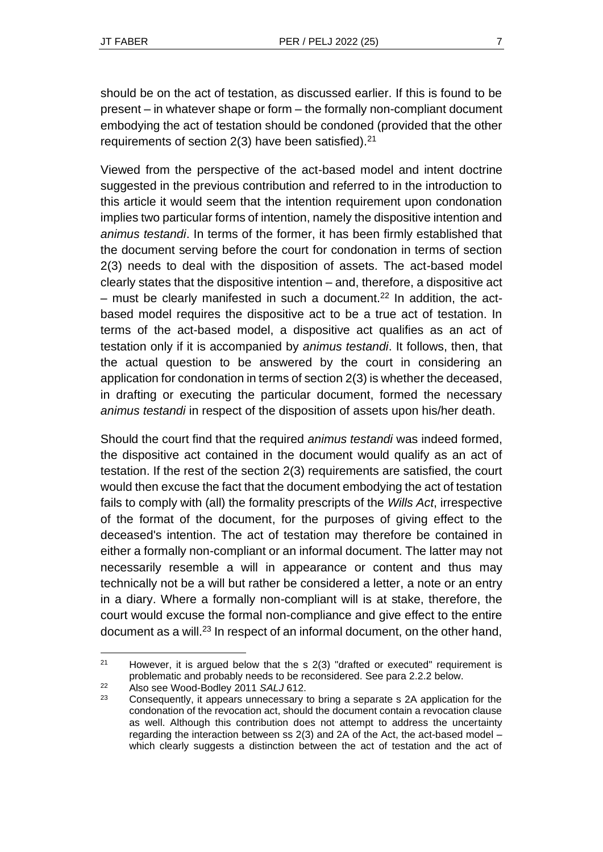should be on the act of testation, as discussed earlier. If this is found to be present – in whatever shape or form – the formally non-compliant document embodying the act of testation should be condoned (provided that the other requirements of section  $2(3)$  have been satisfied).<sup>21</sup>

Viewed from the perspective of the act-based model and intent doctrine suggested in the previous contribution and referred to in the introduction to this article it would seem that the intention requirement upon condonation implies two particular forms of intention, namely the dispositive intention and *animus testandi*. In terms of the former, it has been firmly established that the document serving before the court for condonation in terms of section 2(3) needs to deal with the disposition of assets. The act-based model clearly states that the dispositive intention – and, therefore, a dispositive act  $-$  must be clearly manifested in such a document.<sup>22</sup> In addition, the actbased model requires the dispositive act to be a true act of testation. In terms of the act-based model, a dispositive act qualifies as an act of testation only if it is accompanied by *animus testandi*. It follows, then, that the actual question to be answered by the court in considering an application for condonation in terms of section 2(3) is whether the deceased, in drafting or executing the particular document, formed the necessary *animus testandi* in respect of the disposition of assets upon his/her death.

Should the court find that the required *animus testandi* was indeed formed, the dispositive act contained in the document would qualify as an act of testation. If the rest of the section 2(3) requirements are satisfied, the court would then excuse the fact that the document embodying the act of testation fails to comply with (all) the formality prescripts of the *Wills Act*, irrespective of the format of the document, for the purposes of giving effect to the deceased's intention. The act of testation may therefore be contained in either a formally non-compliant or an informal document. The latter may not necessarily resemble a will in appearance or content and thus may technically not be a will but rather be considered a letter, a note or an entry in a diary. Where a formally non-compliant will is at stake, therefore, the court would excuse the formal non-compliance and give effect to the entire document as a will.<sup>23</sup> In respect of an informal document, on the other hand,

<sup>22</sup> Also see Wood-Bodley 2011 *SALJ* 612.

 $21$  However, it is argued below that the s  $2(3)$  "drafted or executed" requirement is problematic and probably needs to be reconsidered. See para 2.2.2 below.

<sup>&</sup>lt;sup>23</sup> Consequently, it appears unnecessary to bring a separate s 2A application for the condonation of the revocation act, should the document contain a revocation clause as well. Although this contribution does not attempt to address the uncertainty regarding the interaction between ss 2(3) and 2A of the Act, the act-based model – which clearly suggests a distinction between the act of testation and the act of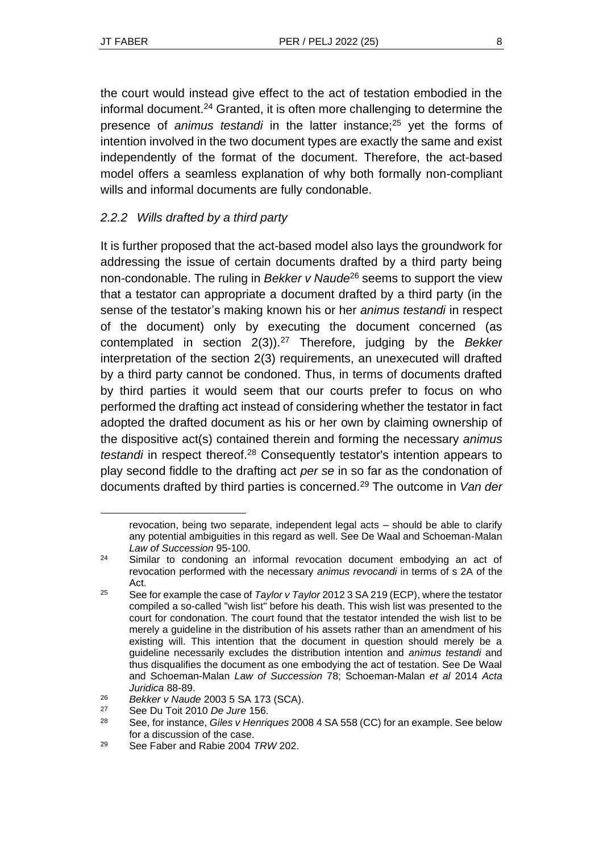the court would instead give effect to the act of testation embodied in the informal document.<sup>24</sup> Granted, it is often more challenging to determine the presence of *animus testandi* in the latter instance;<sup>25</sup> yet the forms of intention involved in the two document types are exactly the same and exist independently of the format of the document. Therefore, the act-based model offers a seamless explanation of why both formally non-compliant wills and informal documents are fully condonable.

### *2.2.2 Wills drafted by a third party*

It is further proposed that the act-based model also lays the groundwork for addressing the issue of certain documents drafted by a third party being non-condonable. The ruling in *Bekker v Naude*<sup>26</sup> seems to support the view that a testator can appropriate a document drafted by a third party (in the sense of the testator's making known his or her *animus testandi* in respect of the document) only by executing the document concerned (as contemplated in section 2(3)).<sup>27</sup> Therefore, judging by the *Bekker*  interpretation of the section 2(3) requirements, an unexecuted will drafted by a third party cannot be condoned. Thus, in terms of documents drafted by third parties it would seem that our courts prefer to focus on who performed the drafting act instead of considering whether the testator in fact adopted the drafted document as his or her own by claiming ownership of the dispositive act(s) contained therein and forming the necessary *animus testandi* in respect thereof.<sup>28</sup> Consequently testator's intention appears to play second fiddle to the drafting act *per se* in so far as the condonation of documents drafted by third parties is concerned.<sup>29</sup> The outcome in *Van der* 

revocation, being two separate, independent legal acts – should be able to clarify any potential ambiguities in this regard as well. See De Waal and Schoeman-Malan *Law of Succession* 95-100.

 $24$  Similar to condoning an informal revocation document embodying an act of revocation performed with the necessary *animus revocandi* in terms of s 2A of the Act.

<sup>25</sup> See for example the case of *Taylor v Taylor* 2012 3 SA 219 (ECP), where the testator compiled a so-called "wish list" before his death. This wish list was presented to the court for condonation. The court found that the testator intended the wish list to be merely a guideline in the distribution of his assets rather than an amendment of his existing will. This intention that the document in question should merely be a guideline necessarily excludes the distribution intention and *animus testandi* and thus disqualifies the document as one embodying the act of testation. See De Waal and Schoeman-Malan *Law of Succession* 78; Schoeman-Malan *et al* 2014 *Acta Juridica* 88-89.

<sup>26</sup> *Bekker v Naude* 2003 5 SA 173 (SCA).

<sup>27</sup> See Du Toit 2010 *De Jure* 156.

<sup>28</sup> See, for instance, *Giles v Henriques* 2008 4 SA 558 (CC) for an example. See below for a discussion of the case.

<sup>29</sup> See Faber and Rabie 2004 *TRW* 202.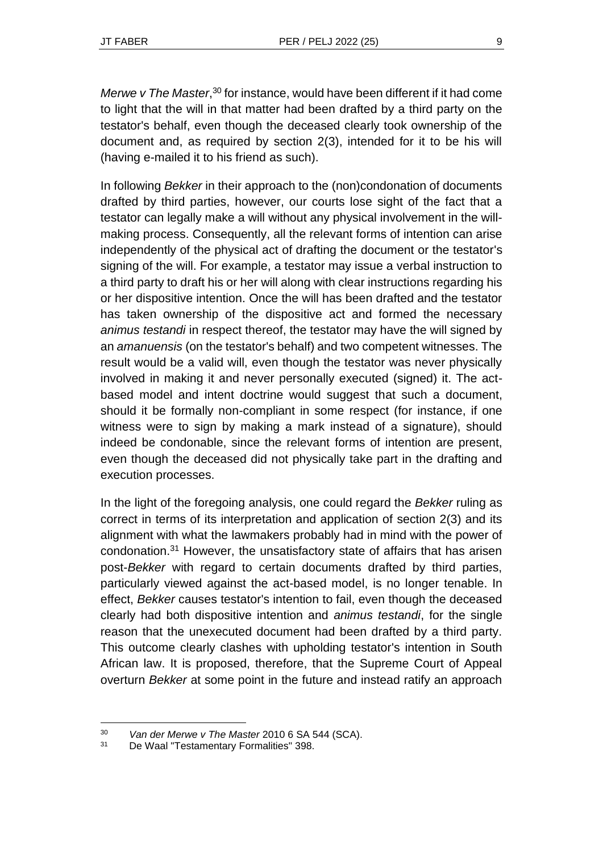*Merwe v The Master*, <sup>30</sup> for instance, would have been different if it had come to light that the will in that matter had been drafted by a third party on the testator's behalf, even though the deceased clearly took ownership of the document and, as required by section 2(3), intended for it to be his will (having e-mailed it to his friend as such).

In following *Bekker* in their approach to the (non)condonation of documents drafted by third parties, however, our courts lose sight of the fact that a testator can legally make a will without any physical involvement in the willmaking process. Consequently, all the relevant forms of intention can arise independently of the physical act of drafting the document or the testator's signing of the will. For example, a testator may issue a verbal instruction to a third party to draft his or her will along with clear instructions regarding his or her dispositive intention. Once the will has been drafted and the testator has taken ownership of the dispositive act and formed the necessary *animus testandi* in respect thereof, the testator may have the will signed by an *amanuensis* (on the testator's behalf) and two competent witnesses. The result would be a valid will, even though the testator was never physically involved in making it and never personally executed (signed) it. The actbased model and intent doctrine would suggest that such a document, should it be formally non-compliant in some respect (for instance, if one witness were to sign by making a mark instead of a signature), should indeed be condonable, since the relevant forms of intention are present, even though the deceased did not physically take part in the drafting and execution processes.

In the light of the foregoing analysis, one could regard the *Bekker* ruling as correct in terms of its interpretation and application of section 2(3) and its alignment with what the lawmakers probably had in mind with the power of condonation.<sup>31</sup> However, the unsatisfactory state of affairs that has arisen post-*Bekker* with regard to certain documents drafted by third parties, particularly viewed against the act-based model, is no longer tenable. In effect, *Bekker* causes testator's intention to fail, even though the deceased clearly had both dispositive intention and *animus testandi*, for the single reason that the unexecuted document had been drafted by a third party. This outcome clearly clashes with upholding testator's intention in South African law. It is proposed, therefore, that the Supreme Court of Appeal overturn *Bekker* at some point in the future and instead ratify an approach

<sup>30</sup> *Van der Merwe v The Master* 2010 6 SA 544 (SCA).

De Waal "Testamentary Formalities" 398.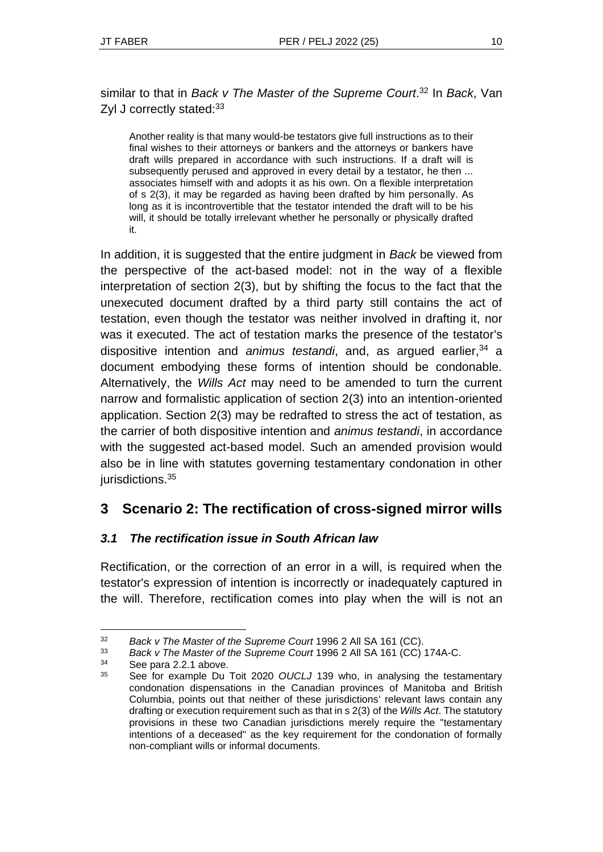similar to that in *Back v The Master of the Supreme Court*. <sup>32</sup> In *Back*, Van Zyl J correctly stated: 33

Another reality is that many would-be testators give full instructions as to their final wishes to their attorneys or bankers and the attorneys or bankers have draft wills prepared in accordance with such instructions. If a draft will is subsequently perused and approved in every detail by a testator, he then ... associates himself with and adopts it as his own. On a flexible interpretation of s 2(3), it may be regarded as having been drafted by him personally. As long as it is incontrovertible that the testator intended the draft will to be his will, it should be totally irrelevant whether he personally or physically drafted it.

In addition, it is suggested that the entire judgment in *Back* be viewed from the perspective of the act-based model: not in the way of a flexible interpretation of section 2(3), but by shifting the focus to the fact that the unexecuted document drafted by a third party still contains the act of testation, even though the testator was neither involved in drafting it, nor was it executed. The act of testation marks the presence of the testator's dispositive intention and *animus testandi*, and, as argued earlier,<sup>34</sup> a document embodying these forms of intention should be condonable. Alternatively, the *Wills Act* may need to be amended to turn the current narrow and formalistic application of section 2(3) into an intention-oriented application. Section 2(3) may be redrafted to stress the act of testation, as the carrier of both dispositive intention and *animus testandi*, in accordance with the suggested act-based model. Such an amended provision would also be in line with statutes governing testamentary condonation in other jurisdictions.<sup>35</sup>

## **3 Scenario 2: The rectification of cross-signed mirror wills**

### *3.1 The rectification issue in South African law*

Rectification, or the correction of an error in a will, is required when the testator's expression of intention is incorrectly or inadequately captured in the will. Therefore, rectification comes into play when the will is not an

<sup>32</sup> *Back v The Master of the Supreme Court* 1996 2 All SA 161 (CC).

<sup>33</sup> *Back v The Master of the Supreme Court* 1996 2 All SA 161 (CC) 174A-C.

 $34$  See para 2.2.1 above.

See for example Du Toit 2020 *OUCLJ* 139 who, in analysing the testamentary condonation dispensations in the Canadian provinces of Manitoba and British Columbia, points out that neither of these jurisdictions' relevant laws contain any drafting or execution requirement such as that in s 2(3) of the *Wills Act*. The statutory provisions in these two Canadian jurisdictions merely require the "testamentary intentions of a deceased" as the key requirement for the condonation of formally non-compliant wills or informal documents.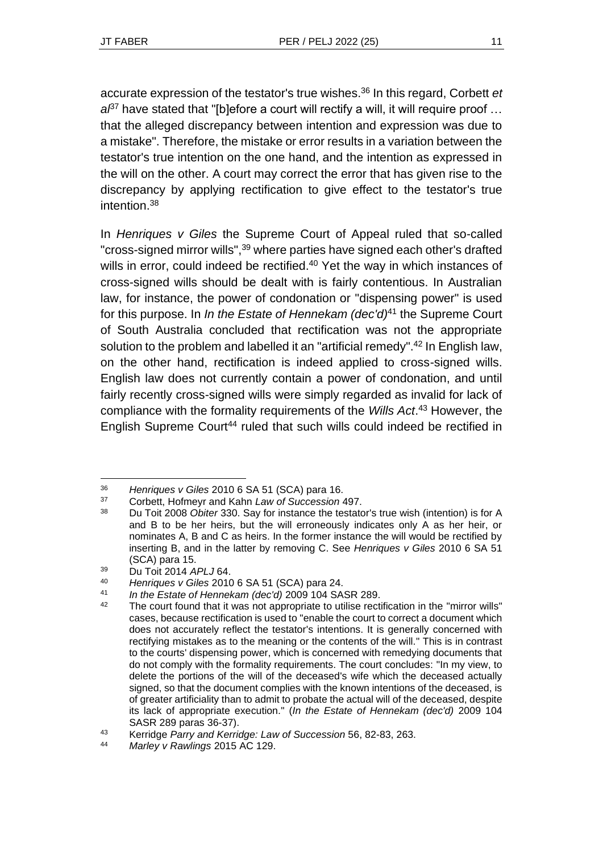accurate expression of the testator's true wishes.<sup>36</sup> In this regard, Corbett *et*   $a^{37}$  have stated that "[b]efore a court will rectify a will, it will require proof ... that the alleged discrepancy between intention and expression was due to a mistake". Therefore, the mistake or error results in a variation between the testator's true intention on the one hand, and the intention as expressed in the will on the other. A court may correct the error that has given rise to the discrepancy by applying rectification to give effect to the testator's true intention.<sup>38</sup>

In *Henriques v Giles* the Supreme Court of Appeal ruled that so-called "cross-signed mirror wills", <sup>39</sup> where parties have signed each other's drafted wills in error, could indeed be rectified.<sup>40</sup> Yet the way in which instances of cross-signed wills should be dealt with is fairly contentious. In Australian law, for instance, the power of condonation or "dispensing power" is used for this purpose. In *In the Estate of Hennekam (dec'd)*<sup>41</sup> the Supreme Court of South Australia concluded that rectification was not the appropriate solution to the problem and labelled it an "artificial remedy".<sup>42</sup> In English law, on the other hand, rectification is indeed applied to cross-signed wills. English law does not currently contain a power of condonation, and until fairly recently cross-signed wills were simply regarded as invalid for lack of compliance with the formality requirements of the *Wills Act*. <sup>43</sup> However, the English Supreme Court<sup>44</sup> ruled that such wills could indeed be rectified in

<sup>36</sup> *Henriques v Giles* 2010 6 SA 51 (SCA) para 16.

<sup>37</sup> Corbett, Hofmeyr and Kahn *Law of Succession* 497.

<sup>38</sup> Du Toit 2008 *Obiter* 330. Say for instance the testator's true wish (intention) is for A and B to be her heirs, but the will erroneously indicates only A as her heir, or nominates A, B and C as heirs. In the former instance the will would be rectified by inserting B, and in the latter by removing C. See *Henriques v Giles* 2010 6 SA 51 (SCA) para 15.

<sup>39</sup> Du Toit 2014 *APLJ* 64.

<sup>40</sup> *Henriques v Giles* 2010 6 SA 51 (SCA) para 24.

<sup>41</sup> *In the Estate of Hennekam (dec'd)* 2009 104 SASR 289.

 $42$  The court found that it was not appropriate to utilise rectification in the "mirror wills" cases, because rectification is used to "enable the court to correct a document which does not accurately reflect the testator's intentions. It is generally concerned with rectifying mistakes as to the meaning or the contents of the will." This is in contrast to the courts' dispensing power, which is concerned with remedying documents that do not comply with the formality requirements. The court concludes: "In my view, to delete the portions of the will of the deceased's wife which the deceased actually signed, so that the document complies with the known intentions of the deceased, is of greater artificiality than to admit to probate the actual will of the deceased, despite its lack of appropriate execution." (*In the Estate of Hennekam (dec'd)* 2009 104 SASR 289 paras 36-37).

<sup>43</sup> Kerridge *Parry and Kerridge: Law of Succession* 56, 82-83, 263.

<sup>44</sup> *Marley v Rawlings* 2015 AC 129.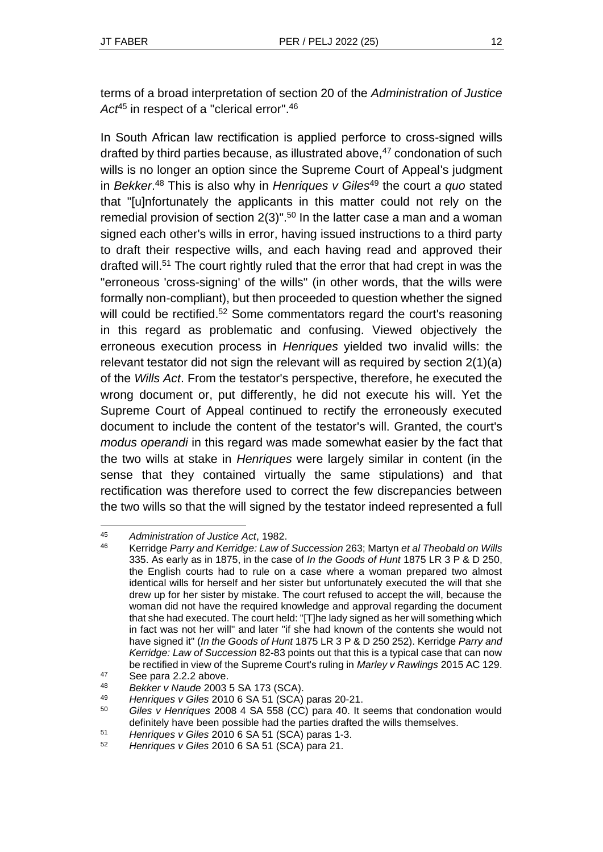terms of a broad interpretation of section 20 of the *Administration of Justice*  Act<sup>45</sup> in respect of a "clerical error".<sup>46</sup>

In South African law rectification is applied perforce to cross-signed wills drafted by third parties because, as illustrated above, $47$  condonation of such wills is no longer an option since the Supreme Court of Appeal's judgment in *Bekker*. <sup>48</sup> This is also why in *Henriques v Giles*<sup>49</sup> the court *a quo* stated that "[u]nfortunately the applicants in this matter could not rely on the remedial provision of section  $2(3)$ ".<sup>50</sup> In the latter case a man and a woman signed each other's wills in error, having issued instructions to a third party to draft their respective wills, and each having read and approved their drafted will. <sup>51</sup> The court rightly ruled that the error that had crept in was the "erroneous 'cross-signing' of the wills" (in other words, that the wills were formally non-compliant), but then proceeded to question whether the signed will could be rectified.<sup>52</sup> Some commentators regard the court's reasoning in this regard as problematic and confusing. Viewed objectively the erroneous execution process in *Henriques* yielded two invalid wills: the relevant testator did not sign the relevant will as required by section 2(1)(a) of the *Wills Act*. From the testator's perspective, therefore, he executed the wrong document or, put differently, he did not execute his will. Yet the Supreme Court of Appeal continued to rectify the erroneously executed document to include the content of the testator's will. Granted, the court's *modus operandi* in this regard was made somewhat easier by the fact that the two wills at stake in *Henriques* were largely similar in content (in the sense that they contained virtually the same stipulations) and that rectification was therefore used to correct the few discrepancies between the two wills so that the will signed by the testator indeed represented a full

<sup>45</sup> *Administration of Justice Act*, 1982.

<sup>46</sup> Kerridge *Parry and Kerridge: Law of Succession* 263; Martyn *et al Theobald on Wills*  335. As early as in 1875, in the case of *In the Goods of Hunt* 1875 LR 3 P & D 250, the English courts had to rule on a case where a woman prepared two almost identical wills for herself and her sister but unfortunately executed the will that she drew up for her sister by mistake. The court refused to accept the will, because the woman did not have the required knowledge and approval regarding the document that she had executed. The court held: "[T]he lady signed as her will something which in fact was not her will" and later "if she had known of the contents she would not have signed it" (*In the Goods of Hunt* 1875 LR 3 P & D 250 252). Kerridge *Parry and Kerridge: Law of Succession* 82-83 points out that this is a typical case that can now be rectified in view of the Supreme Court's ruling in *Marley v Rawlings* 2015 AC 129.

<sup>47</sup> See para 2.2.2 above.

<sup>48</sup> *Bekker v Naude* 2003 5 SA 173 (SCA).

<sup>49</sup> *Henriques v Giles* 2010 6 SA 51 (SCA) paras 20-21.

<sup>50</sup> *Giles v Henriques* 2008 4 SA 558 (CC) para 40. It seems that condonation would definitely have been possible had the parties drafted the wills themselves.

<sup>51</sup> *Henriques v Giles* 2010 6 SA 51 (SCA) paras 1-3.

<sup>52</sup> *Henriques v Giles* 2010 6 SA 51 (SCA) para 21.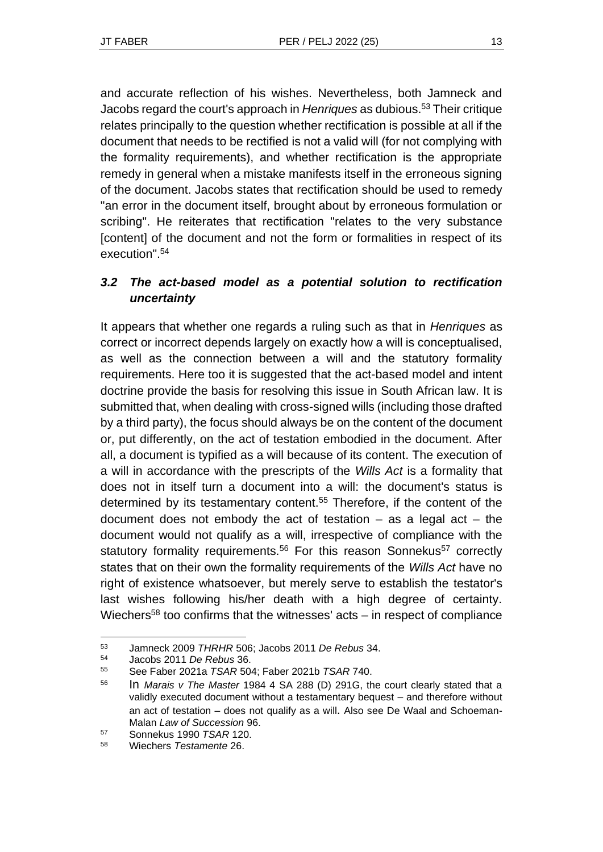and accurate reflection of his wishes. Nevertheless, both Jamneck and Jacobs regard the court's approach in *Henriques* as dubious.<sup>53</sup> Their critique relates principally to the question whether rectification is possible at all if the document that needs to be rectified is not a valid will (for not complying with the formality requirements), and whether rectification is the appropriate remedy in general when a mistake manifests itself in the erroneous signing of the document. Jacobs states that rectification should be used to remedy "an error in the document itself, brought about by erroneous formulation or scribing". He reiterates that rectification "relates to the very substance [content] of the document and not the form or formalities in respect of its execution". 54

### *3.2 The act-based model as a potential solution to rectification uncertainty*

It appears that whether one regards a ruling such as that in *Henriques* as correct or incorrect depends largely on exactly how a will is conceptualised, as well as the connection between a will and the statutory formality requirements. Here too it is suggested that the act-based model and intent doctrine provide the basis for resolving this issue in South African law. It is submitted that, when dealing with cross-signed wills (including those drafted by a third party), the focus should always be on the content of the document or, put differently, on the act of testation embodied in the document. After all, a document is typified as a will because of its content. The execution of a will in accordance with the prescripts of the *Wills Act* is a formality that does not in itself turn a document into a will: the document's status is determined by its testamentary content.<sup>55</sup> Therefore, if the content of the document does not embody the act of testation  $-$  as a legal act  $-$  the document would not qualify as a will, irrespective of compliance with the statutory formality requirements.<sup>56</sup> For this reason Sonnekus<sup>57</sup> correctly states that on their own the formality requirements of the *Wills Act* have no right of existence whatsoever, but merely serve to establish the testator's last wishes following his/her death with a high degree of certainty. Wiechers<sup>58</sup> too confirms that the witnesses'  $acts - in respect of compliance$ 

<sup>53</sup> Jamneck 2009 *THRHR* 506; Jacobs 2011 *De Rebus* 34.

<sup>54</sup> Jacobs 2011 *De Rebus* 36.

<sup>55</sup> See Faber 2021a *TSAR* 504; Faber 2021b *TSAR* 740.

<sup>56</sup> In *Marais v The Master* 1984 4 SA 288 (D) 291G, the court clearly stated that a validly executed document without a testamentary bequest – and therefore without an act of testation – does not qualify as a will. Also see De Waal and Schoeman-Malan *Law of Succession* 96.

<sup>57</sup> Sonnekus 1990 *TSAR* 120.

<sup>58</sup> Wiechers *Testamente* 26.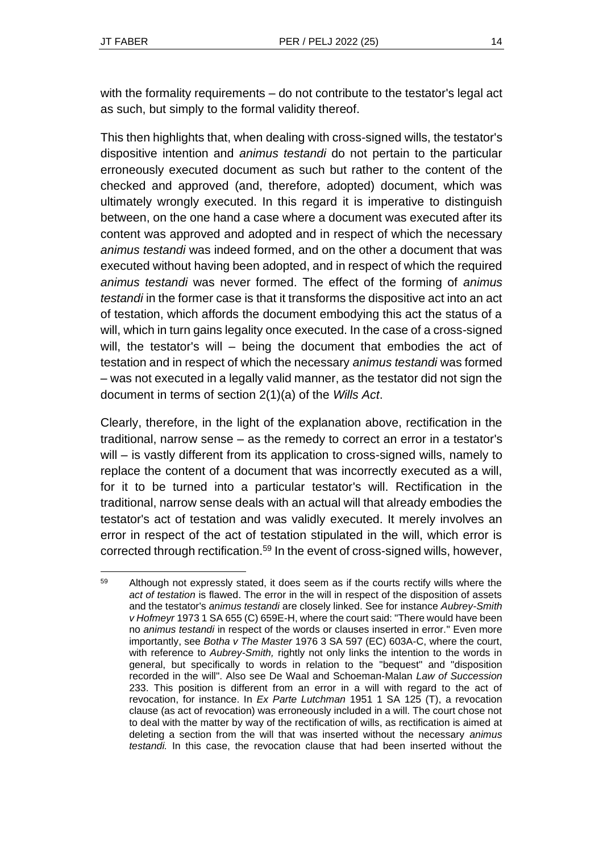with the formality requirements – do not contribute to the testator's legal act as such, but simply to the formal validity thereof.

This then highlights that, when dealing with cross-signed wills, the testator's dispositive intention and *animus testandi* do not pertain to the particular erroneously executed document as such but rather to the content of the checked and approved (and, therefore, adopted) document, which was ultimately wrongly executed. In this regard it is imperative to distinguish between, on the one hand a case where a document was executed after its content was approved and adopted and in respect of which the necessary *animus testandi* was indeed formed, and on the other a document that was executed without having been adopted, and in respect of which the required *animus testandi* was never formed. The effect of the forming of *animus testandi* in the former case is that it transforms the dispositive act into an act of testation, which affords the document embodying this act the status of a will, which in turn gains legality once executed. In the case of a cross-signed will, the testator's will – being the document that embodies the act of testation and in respect of which the necessary *animus testandi* was formed – was not executed in a legally valid manner, as the testator did not sign the document in terms of section 2(1)(a) of the *Wills Act*.

Clearly, therefore, in the light of the explanation above, rectification in the traditional, narrow sense – as the remedy to correct an error in a testator's will – is vastly different from its application to cross-signed wills, namely to replace the content of a document that was incorrectly executed as a will, for it to be turned into a particular testator's will. Rectification in the traditional, narrow sense deals with an actual will that already embodies the testator's act of testation and was validly executed. It merely involves an error in respect of the act of testation stipulated in the will, which error is corrected through rectification.<sup>59</sup> In the event of cross-signed wills, however,

<sup>&</sup>lt;sup>59</sup> Although not expressly stated, it does seem as if the courts rectify wills where the *act of testation* is flawed. The error in the will in respect of the disposition of assets and the testator's *animus testandi* are closely linked. See for instance *Aubrey-Smith v Hofmeyr* 1973 1 SA 655 (C) 659E-H, where the court said: "There would have been no *animus testandi* in respect of the words or clauses inserted in error." Even more importantly, see *Botha v The Master* 1976 3 SA 597 (EC) 603A-C, where the court, with reference to *Aubrey-Smith,* rightly not only links the intention to the words in general, but specifically to words in relation to the "bequest" and "disposition recorded in the will". Also see De Waal and Schoeman-Malan *Law of Succession* 233. This position is different from an error in a will with regard to the act of revocation, for instance. In *Ex Parte Lutchman* 1951 1 SA 125 (T), a revocation clause (as act of revocation) was erroneously included in a will. The court chose not to deal with the matter by way of the rectification of wills, as rectification is aimed at deleting a section from the will that was inserted without the necessary *animus testandi.* In this case, the revocation clause that had been inserted without the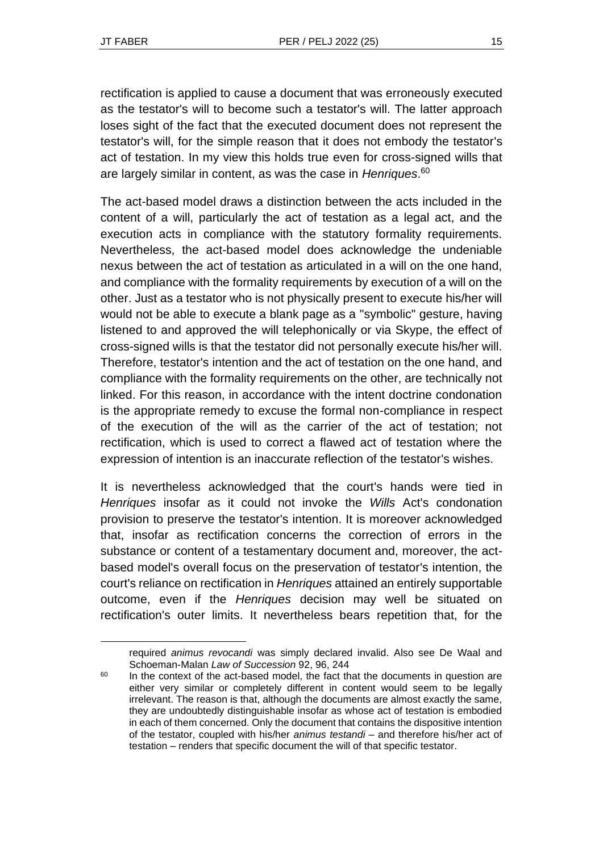rectification is applied to cause a document that was erroneously executed as the testator's will to become such a testator's will. The latter approach loses sight of the fact that the executed document does not represent the testator's will, for the simple reason that it does not embody the testator's act of testation. In my view this holds true even for cross-signed wills that are largely similar in content, as was the case in *Henriques*. 60

The act-based model draws a distinction between the acts included in the content of a will, particularly the act of testation as a legal act, and the execution acts in compliance with the statutory formality requirements. Nevertheless, the act-based model does acknowledge the undeniable nexus between the act of testation as articulated in a will on the one hand, and compliance with the formality requirements by execution of a will on the other. Just as a testator who is not physically present to execute his/her will would not be able to execute a blank page as a "symbolic" gesture, having listened to and approved the will telephonically or via Skype, the effect of cross-signed wills is that the testator did not personally execute his/her will. Therefore, testator's intention and the act of testation on the one hand, and compliance with the formality requirements on the other, are technically not linked. For this reason, in accordance with the intent doctrine condonation is the appropriate remedy to excuse the formal non-compliance in respect of the execution of the will as the carrier of the act of testation; not rectification, which is used to correct a flawed act of testation where the expression of intention is an inaccurate reflection of the testator's wishes.

It is nevertheless acknowledged that the court's hands were tied in *Henriques* insofar as it could not invoke the *Wills* Act's condonation provision to preserve the testator's intention. It is moreover acknowledged that, insofar as rectification concerns the correction of errors in the substance or content of a testamentary document and, moreover, the actbased model's overall focus on the preservation of testator's intention, the court's reliance on rectification in *Henriques* attained an entirely supportable outcome, even if the *Henriques* decision may well be situated on rectification's outer limits. It nevertheless bears repetition that, for the

required *animus revocandi* was simply declared invalid. Also see De Waal and Schoeman-Malan *Law of Succession* 92, 96, 244

<sup>&</sup>lt;sup>60</sup> In the context of the act-based model, the fact that the documents in question are either very similar or completely different in content would seem to be legally irrelevant. The reason is that, although the documents are almost exactly the same, they are undoubtedly distinguishable insofar as whose act of testation is embodied in each of them concerned. Only the document that contains the dispositive intention of the testator, coupled with his/her *animus testandi* – and therefore his/her act of testation – renders that specific document the will of that specific testator.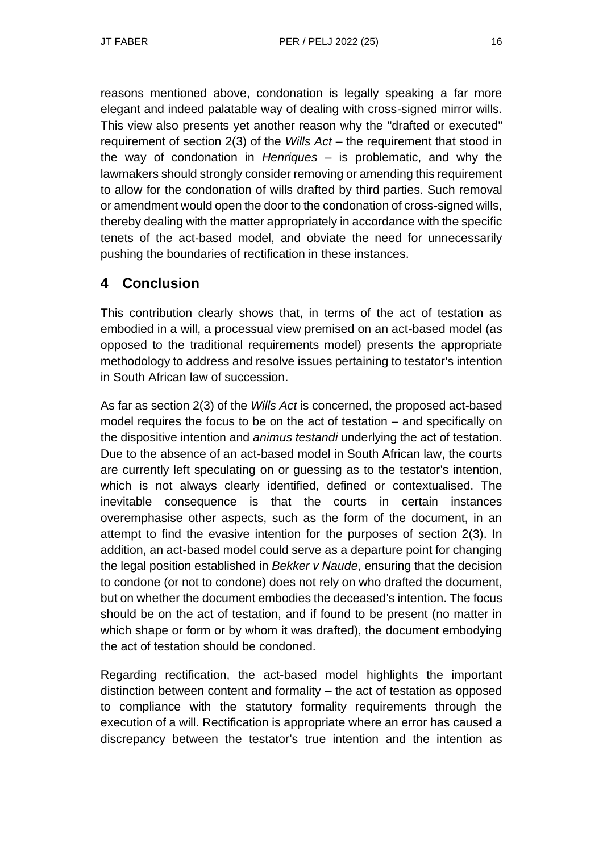reasons mentioned above, condonation is legally speaking a far more elegant and indeed palatable way of dealing with cross-signed mirror wills. This view also presents yet another reason why the "drafted or executed" requirement of section 2(3) of the *Wills Act* – the requirement that stood in the way of condonation in *Henriques* – is problematic, and why the lawmakers should strongly consider removing or amending this requirement to allow for the condonation of wills drafted by third parties. Such removal or amendment would open the door to the condonation of cross-signed wills, thereby dealing with the matter appropriately in accordance with the specific tenets of the act-based model, and obviate the need for unnecessarily pushing the boundaries of rectification in these instances.

# **4 Conclusion**

This contribution clearly shows that, in terms of the act of testation as embodied in a will, a processual view premised on an act-based model (as opposed to the traditional requirements model) presents the appropriate methodology to address and resolve issues pertaining to testator's intention in South African law of succession.

As far as section 2(3) of the *Wills Act* is concerned, the proposed act-based model requires the focus to be on the act of testation – and specifically on the dispositive intention and *animus testandi* underlying the act of testation. Due to the absence of an act-based model in South African law, the courts are currently left speculating on or guessing as to the testator's intention, which is not always clearly identified, defined or contextualised. The inevitable consequence is that the courts in certain instances overemphasise other aspects, such as the form of the document, in an attempt to find the evasive intention for the purposes of section 2(3). In addition, an act-based model could serve as a departure point for changing the legal position established in *Bekker v Naude*, ensuring that the decision to condone (or not to condone) does not rely on who drafted the document, but on whether the document embodies the deceased's intention. The focus should be on the act of testation, and if found to be present (no matter in which shape or form or by whom it was drafted), the document embodying the act of testation should be condoned.

Regarding rectification, the act-based model highlights the important distinction between content and formality – the act of testation as opposed to compliance with the statutory formality requirements through the execution of a will. Rectification is appropriate where an error has caused a discrepancy between the testator's true intention and the intention as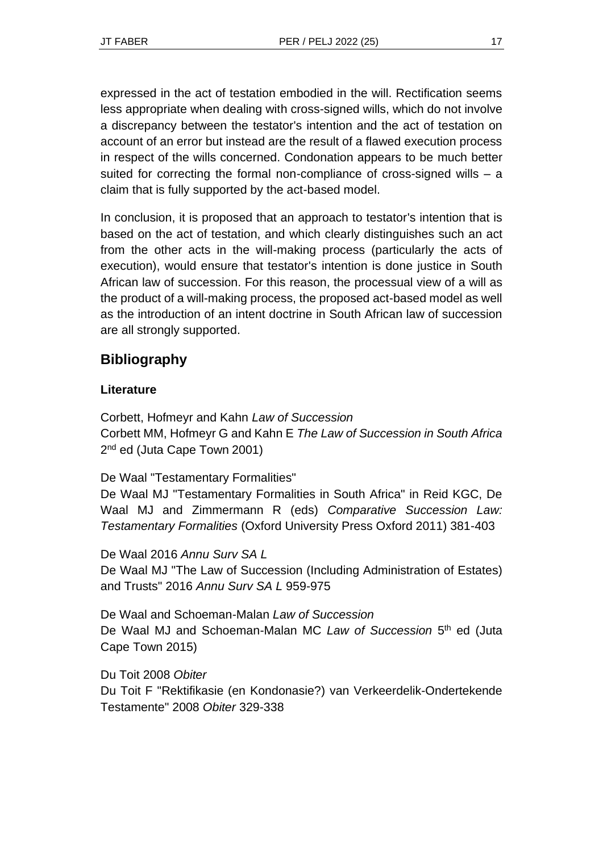expressed in the act of testation embodied in the will. Rectification seems less appropriate when dealing with cross-signed wills, which do not involve a discrepancy between the testator's intention and the act of testation on account of an error but instead are the result of a flawed execution process in respect of the wills concerned. Condonation appears to be much better suited for correcting the formal non-compliance of cross-signed wills – a claim that is fully supported by the act-based model.

In conclusion, it is proposed that an approach to testator's intention that is based on the act of testation, and which clearly distinguishes such an act from the other acts in the will-making process (particularly the acts of execution), would ensure that testator's intention is done justice in South African law of succession. For this reason, the processual view of a will as the product of a will-making process, the proposed act-based model as well as the introduction of an intent doctrine in South African law of succession are all strongly supported.

## **Bibliography**

### **Literature**

Corbett, Hofmeyr and Kahn *Law of Succession* Corbett MM, Hofmeyr G and Kahn E *The Law of Succession in South Africa* 2<sup>nd</sup> ed (Juta Cape Town 2001)

De Waal "Testamentary Formalities"

De Waal MJ "Testamentary Formalities in South Africa" in Reid KGC, De Waal MJ and Zimmermann R (eds) *Comparative Succession Law: Testamentary Formalities* (Oxford University Press Oxford 2011) 381-403

De Waal 2016 *Annu Surv SA L* De Waal MJ "The Law of Succession (Including Administration of Estates) and Trusts" 2016 *Annu Surv SA L* 959-975

De Waal and Schoeman-Malan *Law of Succession* De Waal MJ and Schoeman-Malan MC Law of Succession 5<sup>th</sup> ed (Juta Cape Town 2015)

Du Toit 2008 *Obiter* Du Toit F "Rektifikasie (en Kondonasie?) van Verkeerdelik-Ondertekende Testamente" 2008 *Obiter* 329-338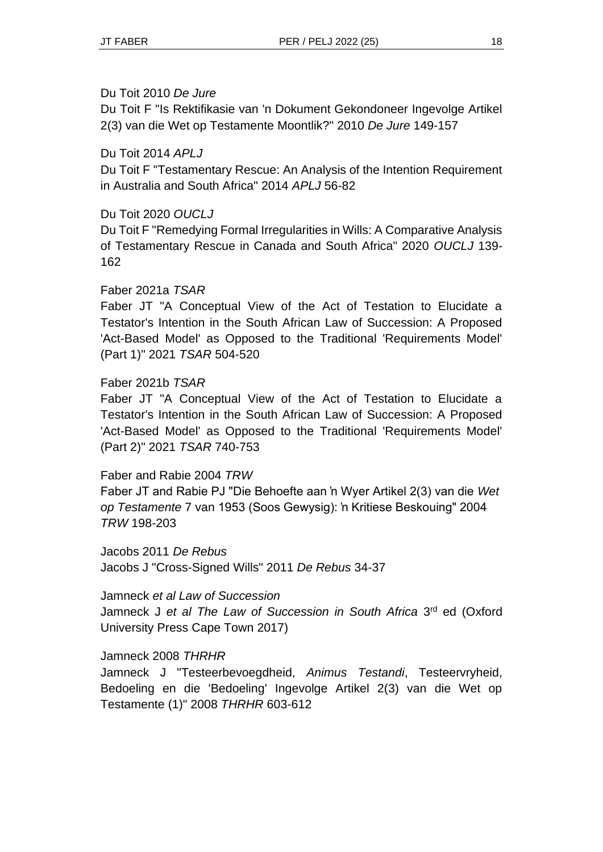#### Du Toit 2010 *De Jure*

Du Toit F "Is Rektifikasie van 'n Dokument Gekondoneer Ingevolge Artikel 2(3) van die Wet op Testamente Moontlik?" 2010 *De Jure* 149-157

#### Du Toit 2014 *APLJ*

Du Toit F "Testamentary Rescue: An Analysis of the Intention Requirement in Australia and South Africa" 2014 *APLJ* 56-82

### Du Toit 2020 *OUCLJ*

Du Toit F "Remedying Formal Irregularities in Wills: A Comparative Analysis of Testamentary Rescue in Canada and South Africa" 2020 *OUCLJ* 139- 162

#### Faber 2021a *TSAR*

Faber JT "A Conceptual View of the Act of Testation to Elucidate a Testator's Intention in the South African Law of Succession: A Proposed 'Act-Based Model' as Opposed to the Traditional 'Requirements Model' (Part 1)" 2021 *TSAR* 504-520

### Faber 2021b *TSAR*

Faber JT "A Conceptual View of the Act of Testation to Elucidate a Testator's Intention in the South African Law of Succession: A Proposed 'Act-Based Model' as Opposed to the Traditional 'Requirements Model' (Part 2)" 2021 *TSAR* 740-753

#### Faber and Rabie 2004 *TRW*

Faber JT and Rabie PJ "Die Behoefte aan 'n Wyer Artikel 2(3) van die *Wet op Testamente* 7 van 1953 (Soos Gewysig): 'n Kritiese Beskouing" 2004 *TRW* 198-203

Jacobs 2011 *De Rebus* Jacobs J "Cross-Signed Wills" 2011 *De Rebus* 34-37

Jamneck *et al Law of Succession* Jamneck J et al The Law of Succession in South Africa 3<sup>rd</sup> ed (Oxford University Press Cape Town 2017)

### Jamneck 2008 *THRHR*

Jamneck J "Testeerbevoegdheid, *Animus Testandi*, Testeervryheid, Bedoeling en die 'Bedoeling' Ingevolge Artikel 2(3) van die Wet op Testamente (1)" 2008 *THRHR* 603-612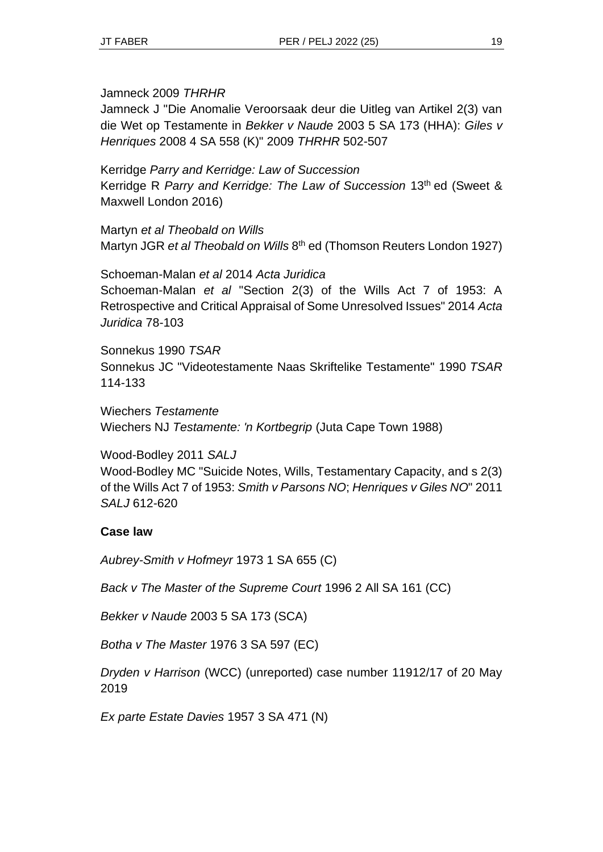Jamneck 2009 *THRHR*

Jamneck J "Die Anomalie Veroorsaak deur die Uitleg van Artikel 2(3) van die Wet op Testamente in *Bekker v Naude* 2003 5 SA 173 (HHA): *Giles v Henriques* 2008 4 SA 558 (K)" 2009 *THRHR* 502-507

Kerridge *Parry and Kerridge: Law of Succession* Kerridge R *Parry and Kerridge: The Law of Succession* 13th ed (Sweet & Maxwell London 2016)

Martyn *et al Theobald on Wills* Martyn JGR et al Theobald on Wills 8<sup>th</sup> ed (Thomson Reuters London 1927)

Schoeman-Malan *et al* 2014 *Acta Juridica* Schoeman-Malan *et al* "Section 2(3) of the Wills Act 7 of 1953: A Retrospective and Critical Appraisal of Some Unresolved Issues" 2014 *Acta Juridica* 78-103

Sonnekus 1990 *TSAR* Sonnekus JC "Videotestamente Naas Skriftelike Testamente" 1990 *TSAR* 114-133

Wiechers *Testamente* Wiechers NJ *Testamente: 'n Kortbegrip* (Juta Cape Town 1988)

Wood-Bodley 2011 *SALJ* Wood-Bodley MC "Suicide Notes, Wills, Testamentary Capacity, and s 2(3) of the Wills Act 7 of 1953: *Smith v Parsons NO*; *Henriques v Giles NO*" 2011 *SALJ* 612-620

### **Case law**

*Aubrey-Smith v Hofmeyr* 1973 1 SA 655 (C)

*Back v The Master of the Supreme Court* 1996 2 All SA 161 (CC)

*Bekker v Naude* 2003 5 SA 173 (SCA)

*Botha v The Master* 1976 3 SA 597 (EC)

*Dryden v Harrison* (WCC) (unreported) case number 11912/17 of 20 May 2019

*Ex parte Estate Davies* 1957 3 SA 471 (N)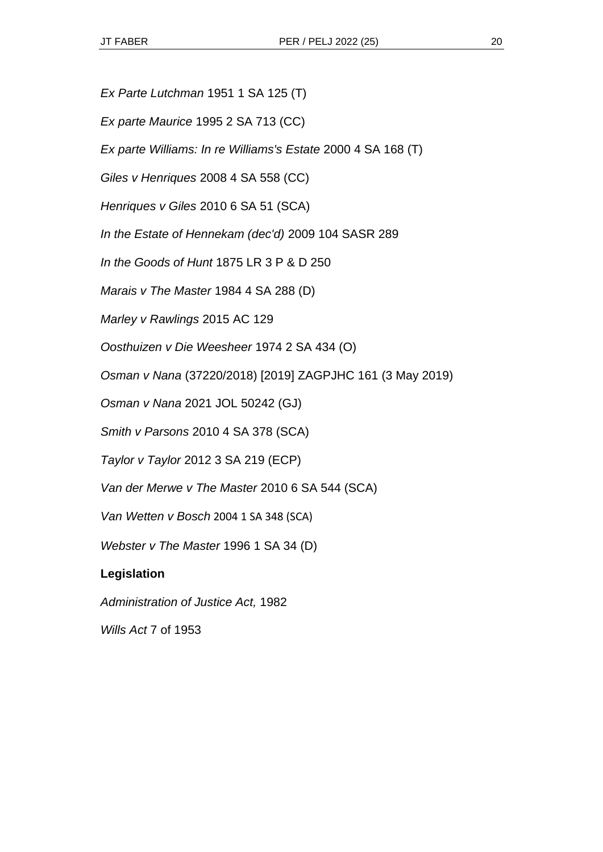- *Ex Parte Lutchman* 1951 1 SA 125 (T)
- *Ex parte Maurice* 1995 2 SA 713 (CC)

*Ex parte Williams: In re Williams's Estate* 2000 4 SA 168 (T)

*Giles v Henriques* 2008 4 SA 558 (CC)

*Henriques v Giles* 2010 6 SA 51 (SCA)

*In the Estate of Hennekam (dec'd)* 2009 104 SASR 289

*In the Goods of Hunt* 1875 LR 3 P & D 250

*Marais v The Master* 1984 4 SA 288 (D)

*Marley v Rawlings* 2015 AC 129

*Oosthuizen v Die Weesheer* 1974 2 SA 434 (O)

*Osman v Nana* (37220/2018) [2019] ZAGPJHC 161 (3 May 2019)

*Osman v Nana* 2021 JOL 50242 (GJ)

*Smith v Parsons* 2010 4 SA 378 (SCA)

*Taylor v Taylor* 2012 3 SA 219 (ECP)

*Van der Merwe v The Master* 2010 6 SA 544 (SCA)

*Van Wetten v Bosch* 2004 1 SA 348 (SCA)

*Webster v The Master* 1996 1 SA 34 (D)

#### **Legislation**

*Administration of Justice Act,* 1982

*Wills Act* 7 of 1953